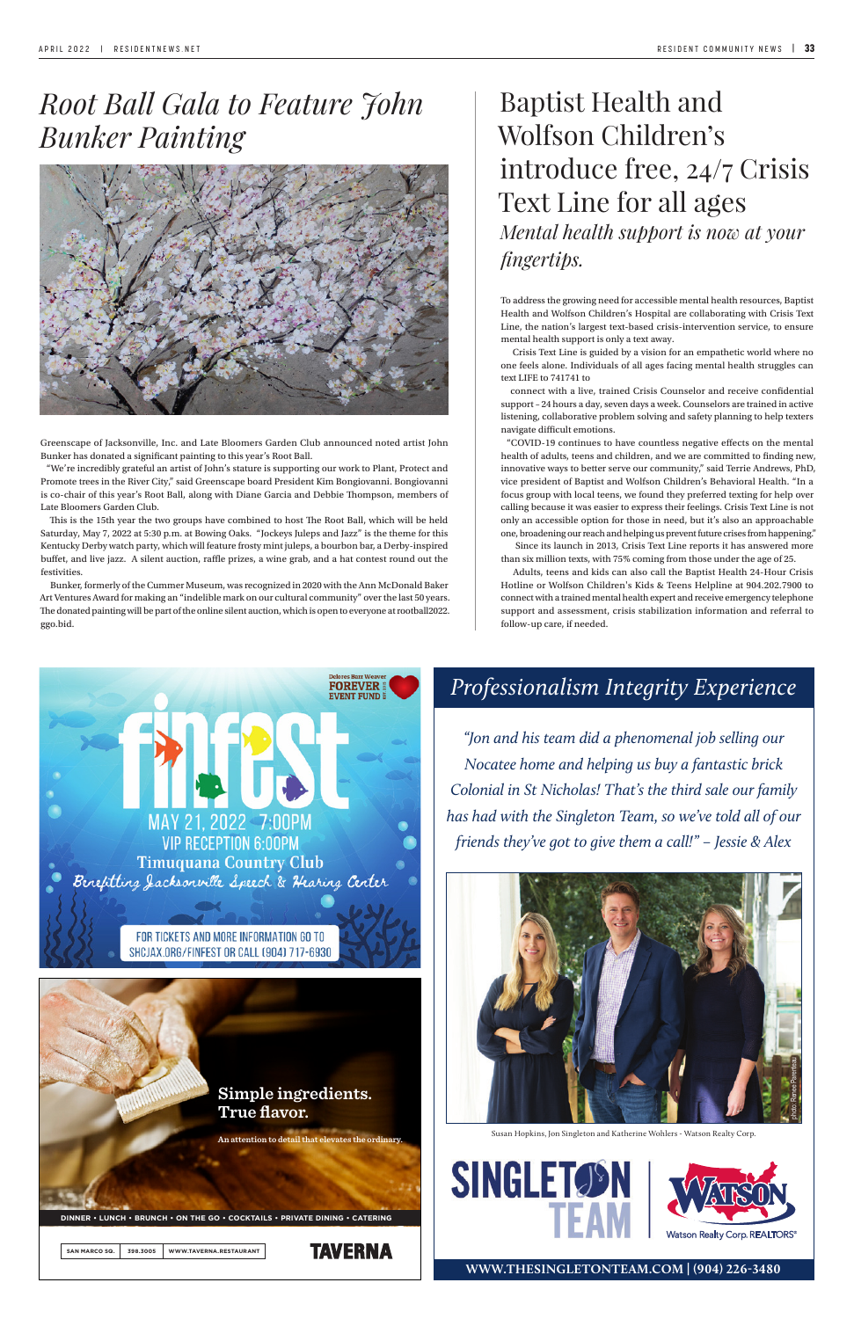### *Professionalism Integrity Experience*

**WWW.THESINGLETONTEAM.COM | (904) 226-3480**

*"Jon and his team did a phenomenal job selling our Nocatee home and helping us buy a fantastic brick Colonial in St Nicholas! That's the third sale our family has had with the Singleton Team, so we've told all of our friends they've got to give them a call!" – Jessie & Alex*





Susan Hopkins, Jon Singleton and Katherine Wohlers - Watson Realty Corp.





# *Root Ball Gala to Feature John Bunker Painting*



Greenscape of Jacksonville, Inc. and Late Bloomers Garden Club announced noted artist John Bunker has donated a significant painting to this year's Root Ball.

"We're incredibly grateful an artist of John's stature is supporting our work to Plant, Protect and Promote trees in the River City," said Greenscape board President Kim Bongiovanni. Bongiovanni is co-chair of this year's Root Ball, along with Diane Garcia and Debbie Thompson, members of Late Bloomers Garden Club.

This is the 15th year the two groups have combined to host The Root Ball, which will be held Saturday, May 7, 2022 at 5:30 p.m. at Bowing Oaks. "Jockeys Juleps and Jazz" is the theme for this Kentucky Derby watch party, which will feature frosty mint juleps, a bourbon bar, a Derby-inspired buffet, and live jazz. A silent auction, raffle prizes, a wine grab, and a hat contest round out the festivities.

Bunker, formerly of the Cummer Museum, was recognized in 2020 with the Ann McDonald Baker Art Ventures Award for making an "indelible mark on our cultural community" over the last 50 years. The donated painting will be part of the online silent auction, which is open to everyone at rootball2022. ggo.bid.

## Baptist Health and Wolfson Children's introduce free, 24/7 Crisis Text Line for all ages *Mental health support is now at your fingertips.*

To address the growing need for accessible mental health resources, Baptist Health and Wolfson Children's Hospital are collaborating with Crisis Text Line, the nation's largest text-based crisis-intervention service, to ensure mental health support is only a text away.

 Crisis Text Line is guided by a vision for an empathetic world where no one feels alone. Individuals of all ages facing mental health struggles can text LIFE to 741741 to

connect with a live, trained Crisis Counselor and receive confidential support – 24 hours a day, seven days a week. Counselors are trained in active listening, collaborative problem solving and safety planning to help texters navigate difficult emotions.

"COVID-19 continues to have countless negative effects on the mental health of adults, teens and children, and we are committed to finding new, innovative ways to better serve our community," said Terrie Andrews, PhD, vice president of Baptist and Wolfson Children's Behavioral Health. "In a focus group with local teens, we found they preferred texting for help over calling because it was easier to express their feelings. Crisis Text Line is not only an accessible option for those in need, but it's also an approachable one, broadening our reach and helping us prevent future crises from happening." Since its launch in 2013, Crisis Text Line reports it has answered more

than six million texts, with 75% coming from those under the age of 25.

 Adults, teens and kids can also call the Baptist Health 24-Hour Crisis Hotline or Wolfson Children's Kids & Teens Helpline at 904.202.7900 to connect with a trained mental health expert and receive emergency telephone support and assessment, crisis stabilization information and referral to follow-up care, if needed.





**An attention to detail that elevates the ordinary.**

**DINNER • LUNCH • BRUNCH • ON THE GO • COCKTAILS • PRIVATE DINING • CATERING**

**SAN MARCO SQ. 398.3005 WWW.TAVERNA.RESTAURANT**